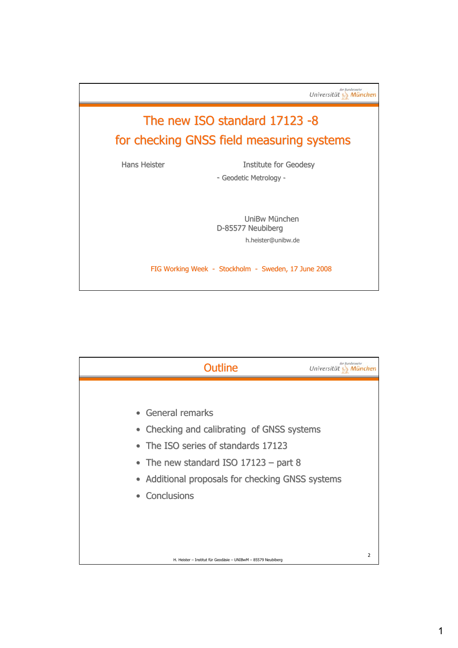

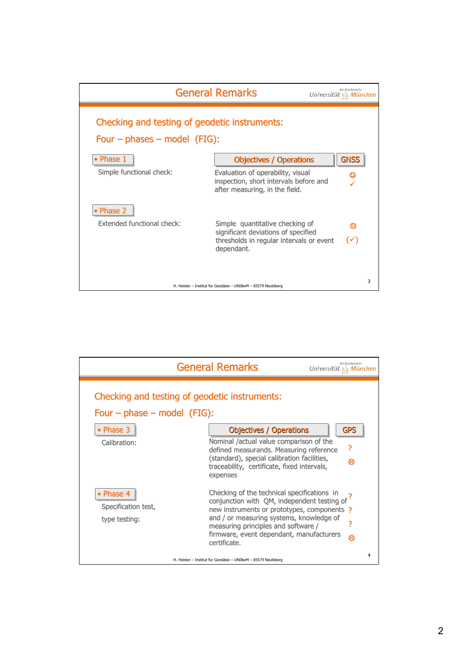

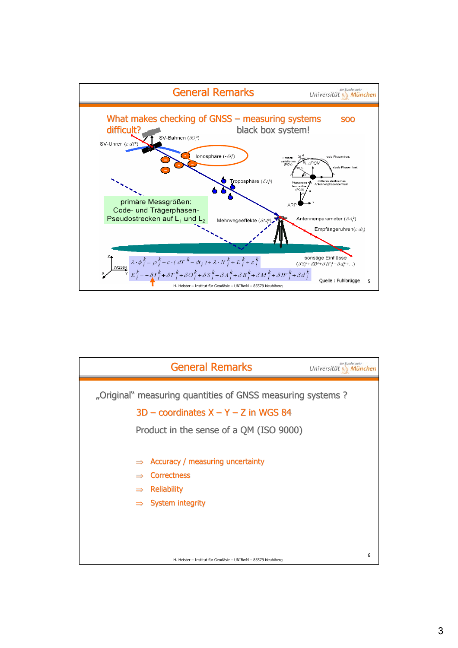

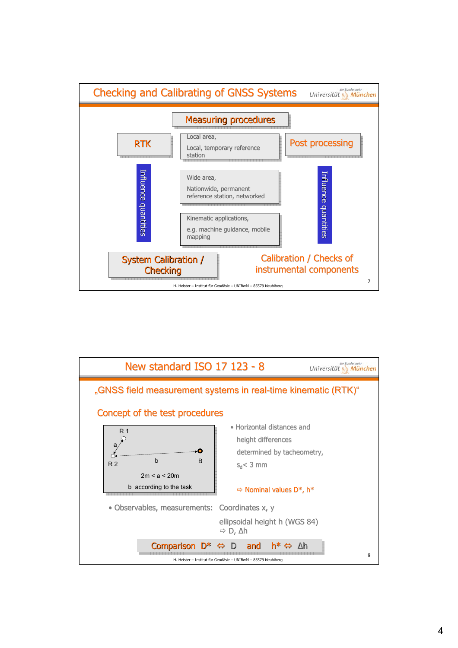

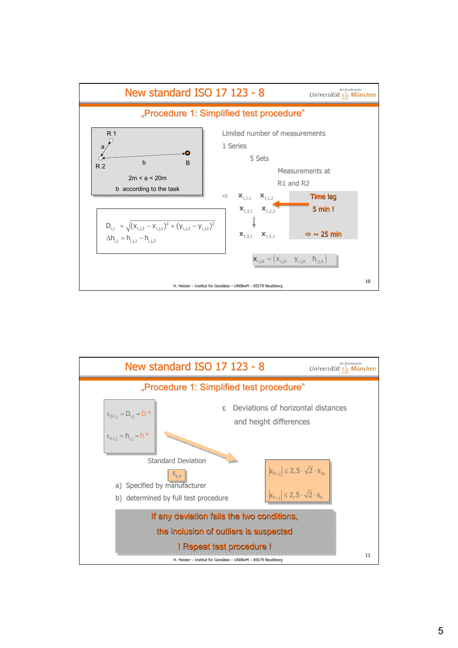

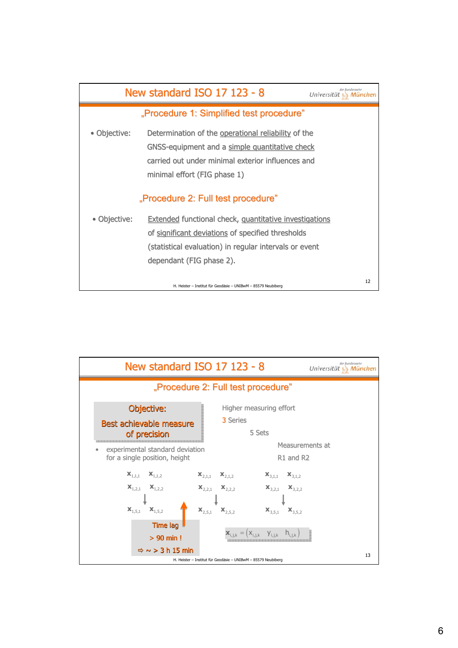

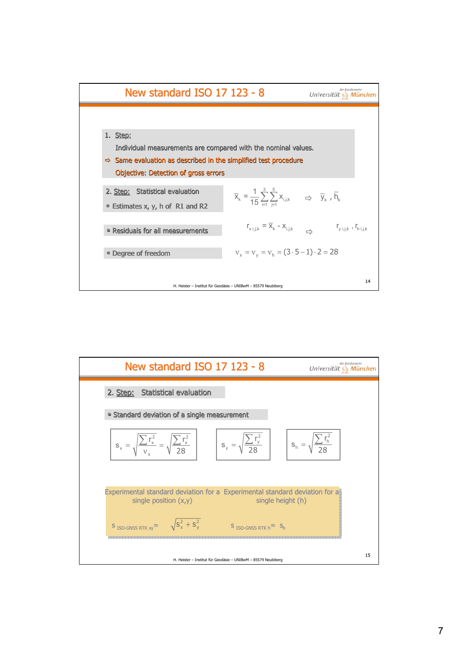

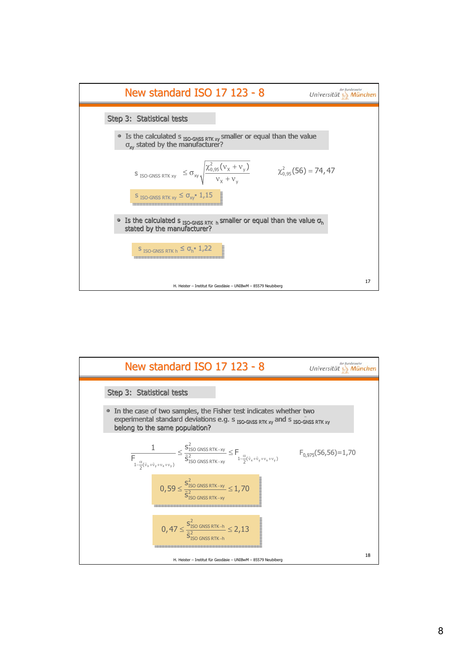